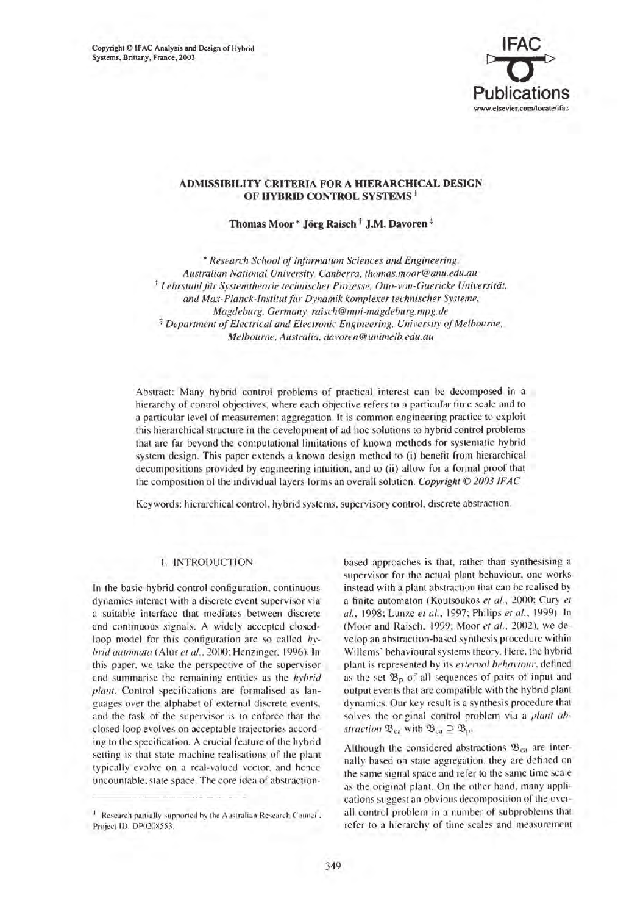Copyright © IFAC Analysis and Design of Hybrid Systems, Brittany, France, 2003



## ADMISSIBILITY CRITERIA FOR A HIERARCHICAL DESIGN OF HYBRID CONTROL SYSTEMS<sup>1</sup>

Thomas Moor\* Jörg Raisch<sup>†</sup> J.M. Davoren<sup>‡</sup>

 $*$  Research School of Information Sciences and Engineering. *Australian Natiollal* Uni\'ersit\~ *Canberra. thomas.moor@anu.edu.au*  <sup>t</sup> Lehrstuhl für Systemtheorie technischer Prozesse, Otto-von-Guericke Universität. *and Max-Planck-Institut fiir Dynamik komplexer technischer Systeme. Magdeburg. Germany. raisch@mpi-magdeburg.mpg.de*  <sup> $$$ </sup> *Department of Electrical and Electronic Engineering. University of Melbourne. Melbourne. Australia. dal'oren@ullimelb.edu.au* 

Abstract: Many hybrid control problems of practical interest can be decomposed in a hierarchy of control objectives. where each objective refers to a particular time scale and to a particular level of measurement aggregation. It is common engineering practice to exploit this hierarchical structure in the development of ad hoc solutions to hybrid control problems that are far beyond the computational limitations of known methods for systematic hybrid system design. This paper extends a known design method to (i) benefit from hierarchical decompositions provided by engineering intuition, and to (ii) allow for a formal proof that the composition of the individual layers forms an overall solution. *Copyright* © *2003 IF AC* 

Keywords: hierarchical control, hybrid systems, supervisory control, discrete abstraction.

## I. INTRODUCTION

In the basic hybrid control configuration, continuous dynamics interact with a discrete event supervisor via a suitable interface that mediates between discrete and continuous signals. A widely accepted closedloop model for this configuration arc so called *hrbrid automata* (Alur et al., 2000; Henzinger, 1996). In this paper. we take the perspective of the supervisor and summarise the remaining entities as the *hybrid plant.* Control specifications are formalised as languages over the alphabet of external discrete events. and the task of the supervisor is to enforce that the closed loop evolves on acceptable trajectories according to the specification. A crucial feature of the hybrid setting is that state machine realisations of the plant typically evolve on a real-valued vector. and hence uncountable. state space. The core idea of abstractionbased approaches is that, rather than synthesising a supervisor for the actual plant behaviour, onc works instead with a plant abstraction that can be realised by a finite automaton (Koutsoukos *et al.,* 2000; Cury *et al.,* 1998: Lunze *et al.,* 1997: Phi lips *et al.,* 1999). In (Moor and Raisch, 1999; Moor et al., 2002), we develop an abstraction-based synthesis procedure within Willems' behavioural systems theory. Here. the hybrid plant is represented by its *external behaviour*, defined as the set  $\mathfrak{B}_p$  of all sequences of pairs of input and output events that are compatible with the hybrid plant dynamics. Our key result is a synthesis procedure that solves the original control problem via a *plant abstruction*  $\mathfrak{B}_{ca}$  with  $\mathfrak{B}_{ca} \supseteq \mathfrak{B}_{p}$ .

Although the considered abstractions  $\mathfrak{B}_{ca}$  are internally based on state aggregation, they are defined on the same signal space and refer to the same time scale as the original plant. On the other hand, many applications suggest an obvious decomposition of the overall control problem in a number of subproblems that refer to a hierarchy of time scales and measurement

<sup>&</sup>lt;sup>1</sup> Research partially supported by the Australian Research Council. Projecl ID: DP020X553 .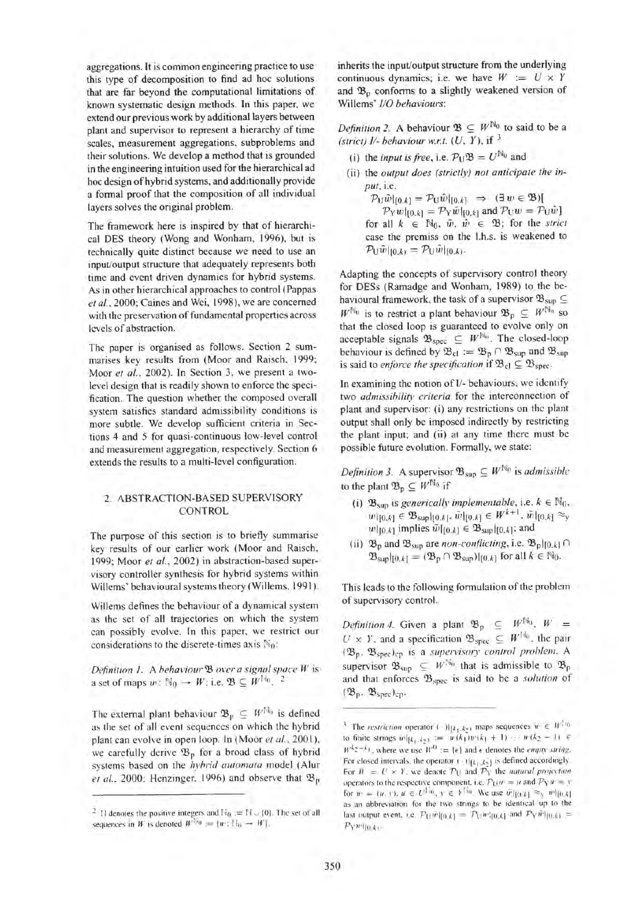aggregations. It is common engineering practice to use this type of decomposition to find ad hoc solutions that are far beyond the computational limitations of known systematic design methods. In this paper, we extend our previous work by additional layers between plant and supervisor to represent a hierarchy of time scales, measurement aggregations, subproblems and their solutions. We develop a method that is grounded in the engineering intuition used for the hierarchical ad hoc design of hybrid systems, and additionally provide a formal proof that the composition of all individual layers solves the original problem.

The framework here is inspired by that of hierarchical DES theory (Wong and Wonham, 1996), but is technically quite distinct because we need to use an input/output structure that adequately represents both time and event driven dynamics for hybrid systems. As in other hierarchical approaches to control (Pappas *et* aI., 2000; Caines and Wei, 1998), we are concerned with the preservation of fundamental properties across lcvcls of abstraction.

The paper is organised as follows. Section 2 summarises key results from (Moor and Raisch. 1999; Moor *et al..* 2002). In Section 3, we present a twolevel design that is readily shown to enforce the specification. The question whether the composed overall system satisfies standard admissibility conditions is more subtle. We develop sufficient criteria in Sections 4 and 5 for quasi-continuous low-level control and measurement aggregation, respectively. Section 6 extends the results to a multi-level configuration.

#### 2. ABSTRACTION-BASED SUPERVISORY CONTROL

The purpose of this section is to briefly summarise key results of our earlier work (Moor and Raisch, 1999; Moor *et* aI., 2002) in abstraction-based supervisory controller synthesis for hybrid systems within Willems' behavioural systems theory (Willems. 1991).

Willems defines the behaviour of a dynamical system as the set of all trajectories on which the system can possibly evolve. In this paper. we restrict our considerations to the discrete-times axis  $\mathbb{N}_0$ :

*Definition 1.* A *behaviour*  $\mathcal{B}$  *over a signal space W* is a set of maps  $w: \mathbb{N}_0 \to W$ ; i.e.  $\mathfrak{B} \subseteq W^{\mathbb{N}_0}$ .

The external plant behaviour  $\mathfrak{B}_p \subseteq W^{[1]}$  is defined as the set of all event sequences on which the hybrid plant can evolve in open loop. In (Moor et al., 2001). we carefully derive  $\mathfrak{B}_p$  for a broad class of hybrid systems based on the *hybrid automata* model (Alur *et al.*, 2000; Henzinger, 1996) and observe that  $\mathfrak{B}_p$  inherits the input/output structure from the underlying continuous dynamics; i.e. we have  $W := U \times Y$ and  $\mathfrak{B}_p$  conforms to a slightly weakened version of Willems' *110 behaviours:* 

*Definition 2.* A behaviour  $\mathfrak{B} \subseteq W^{\mathbb{N}_0}$  to said to be a *(strict) 11- behaviour W.r.t. (U.* Y), if 3

- (i) the *input is free*, i.e.  $P_1 \mathfrak{B} = U^{\mathbb{N}_0}$  and
- (ii) the *output does (strictly) not anticipate the input,* i.e.
	- $P_{\text{U}}\tilde{w}|_{[0,k]} = P_{\text{U}}\tilde{w}|_{[0,k]} \Rightarrow (\exists w \in \mathfrak{B})$  $\mathcal{P}_V$ wl<sub>[0,k]</sub>  $\mathcal{P}_V \tilde{w}$ <sub>[0,k]</sub> and  $\mathcal{P}_V w = \mathcal{P}_V \tilde{w}$ ] for all  $k \in \mathbb{N}_0$ ,  $\tilde{w}$ ,  $\tilde{w} \in \mathfrak{B}$ ; for the *strict* case the premiss on the I.h.s. is weakened to  $\mathcal{P}_{\mathbf{U}}\tilde{w}|_{[0,k)} = \mathcal{P}_{\mathbf{U}}\tilde{w}|_{[0,k)}.$

Adapting the concepts of supervisory control theory for DESs (Ramadge and Wonham, 1989) to the behavioural framework, the task of a supervisor  $\mathfrak{B}_{\text{sup}} \subseteq$  $W^{\mathbb{N}_0}$  is to restrict a plant behaviour  $\mathfrak{B}_p \subseteq W^{\mathbb{N}_0}$  so that the closed loop is guaranteed to evolve only on acceptable signals  $\mathfrak{B}_{\text{spec}} \subseteq W^{\mathbb{N}_0}$ . The closed-loop behaviour is defined by  $\mathfrak{B}_{cl} := \mathfrak{B}_{p} \cap \mathfrak{B}_{sup}$  and  $\mathfrak{B}_{sup}$ is said to *enforce the specification* if  $\mathfrak{B}_{\text{cl}} \subseteq \mathfrak{B}_{\text{spec}}$ .

In examining thc notion of 1/- behaviours, we idcntify two *admissibility criteria* for the interconnection of plant and supervisor: (i) any restrictions on the plant output shall only be imposed indirectly by restricting the plant input; and (ii) at any time thcre must be possible future evolution. Formally, we state:

*Definition 3.* A supervisor  $\mathfrak{B}_{\text{sup}} \subseteq W^{\mathbb{N}_0}$  is *admissible* to the plant  $\mathfrak{B}_p \subseteq W^{\mathbb{N}_0}$  if

- (i)  $\mathfrak{B}_{\text{sun}}$  is *generically implementable*, *i.e.*  $k \in \mathbb{N}_0$ ,  $w|_{[0,k]} \in \mathfrak{B}_{\text{sup}}|_{[0,k]}, \tilde{w}|_{[0,k]} \in W^{k+1}, \tilde{w}|_{[0,k]} \approx_{\text{v}}$  $w|_{[0,k]}$  implies  $\tilde{w}|_{[0,k]} \in \mathfrak{B}_{\text{sup}}|_{[0,k]}$ ; and
- (ii)  $\mathfrak{B}_{\mathfrak{p}}$  and  $\mathfrak{B}_{\sup}$  are *non-conflicting*, i.e.  $\mathfrak{B}_{\mathfrak{p}}|_{[0,k]} \cap$  $\mathfrak{B}_{\text{sup}}|_{[0,k]} = (\mathfrak{B}_{p} \cap \mathfrak{B}_{\text{sup}})|_{[0,k]}$  for all  $k \in \mathbb{N}_0$ .

This leads to the following formulation of the problem of supervisory control.

*Definition 4.* Given a plant  $\mathfrak{B}_{p} \subseteq W^{\mathbb{N}_{0}}$ ,  $W =$  $U \times Y$ , and a specification  $\mathfrak{B}_{\text{spec}} \subseteq W^{H_0}$ , the pair ('l3p . 'l3spedcp is a *supervisory control prohlelll.* A supervisor  $\mathfrak{B}_{\text{sup}} \subseteq W^{\mathfrak{B}_{n}}$  that is admissible to  $\mathfrak{B}_{p}$ and that enforces 'Bspec is said to be a *solurion* of  $(\mathfrak{B}_{p}, \mathfrak{B}_{\text{spec}})_{\text{cp}}$ .

 $^2$  [] denotes the positive integers and  $\mathbb{N}_0 := \mathbb{N} \cup \{0\}.$  The set of all sequences in W is denoted  $W^{\text{lin}} := \{w : \mathbb{N}_0 \to W\}.$ 

<sup>&</sup>lt;sup>3</sup> The *restriction* operator ( .) $|_{[k_1, k_2]}$ , maps sequences  $u \in W^{2n}$ to finite strings  $w|_{\{k_1, k_2\}} := w(k_1)w(k_1 + 1) \cdots w(k_2 - 1) \in$  $W^{k_2-k_1}$ , where we use  $W^0 := |\epsilon|$  and  $\epsilon$  denotes the *empty string*. For closed intervals, the operator  $(-1)[k_1, k_2]$  is defined accordingly. For  $W = U \times Y$ , we denote  $\mathcal{P}_U$  and  $\mathcal{P}_Y$  the natural projection operators to the respective component, i.e.  $P_U u = u$  and  $P_Y u = y$ for  $w = \{u, v\}, u \in U^{\{1, 0\}}, v \in Y^{\{1, 0\}}$ . We use  $\tilde{w}\left[\{0, k\right] \approx_{\mathcal{Y}} \tilde{w}\left[\{0, k\right]\}$ as an abbreviation for the two strings to be identical up to the last output event. i,e,  $\mathcal{P}_U \tilde{w} |_{[0,k]} = \mathcal{P}_U w \cdot_{[0,k]}$  and  $\mathcal{P}_Y \tilde{w} |_{[0,k]} =$  $P_Y w$  ||0 k+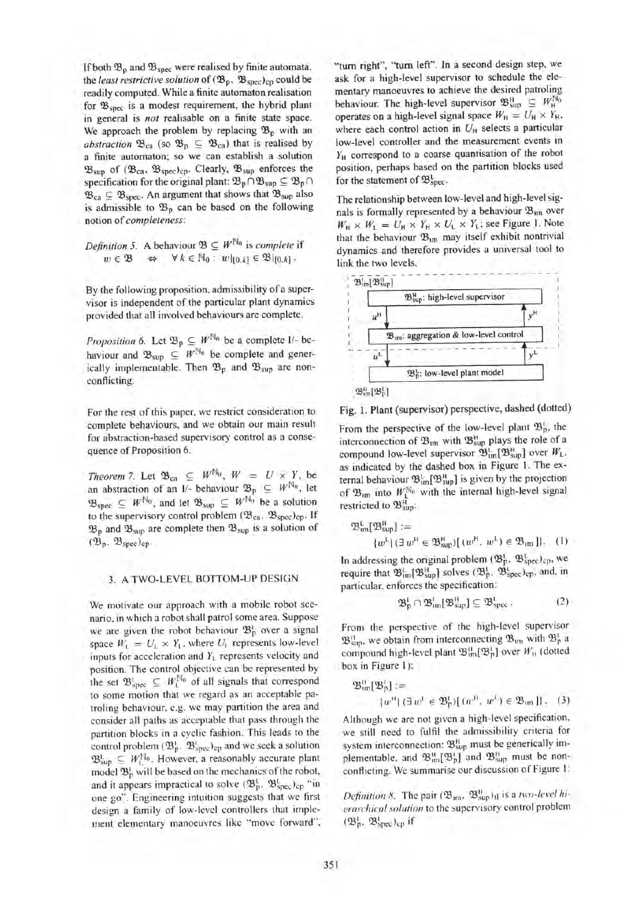If both  $\mathfrak{B}_p$  and  $\mathfrak{B}_{\text{spec}}$  were realised by finite automata, the *least restrictive solution* of  $({\mathfrak{B}}_p, {\mathfrak{B}}_{\rm spec})_{\rm cp}$  could be readily computed. While a finite automaton realisation for  $\mathfrak{B}_{\text{spec}}$  is a modest requirement, the hybrid plant in general is *not* realisable on a finite state space. We approach the problem by replacing  $\mathfrak{B}_p$  with an *abstraction*  $\mathfrak{B}_{ca}$  (so  $\mathfrak{B}_{p} \subseteq \mathfrak{B}_{ca}$ ) that is realised by a finite automaton; so we can establish a solution  $\mathfrak{B}_{\text{sup}}$  of  $(\mathfrak{B}_{\text{ca}}, \mathfrak{B}_{\text{spec}})_{\text{cp}}$ . Clearly,  $\mathfrak{B}_{\text{sup}}$  enforces the specification for the original plant:  $\mathfrak{B}_{p} \cap \mathfrak{B}_{\text{sup}} \subseteq \mathfrak{B}_{p} \cap$  $\mathfrak{B}_{ca} \subseteq \mathfrak{B}_{\text{spec}}$ . An argument that shows that  $\mathfrak{B}_{\text{sup}}$  also is admissible to  $\mathfrak{B}_p$  can be based on the following notion of *completeness:* 

*Definition 5.* A behaviour  $\mathfrak{B} \subseteq W^{\mathbb{N}_0}$  is *complete* if  $w \in \mathfrak{B} \Leftrightarrow \forall k \in \mathbb{N}_0 : w|_{[0,k]} \in \mathfrak{B}|_{[0,k]}$ .

By the following proposition, admissibility of a supervisor is independent of the particular plant dynamics provided that all involved behaviours are complete.

*Proposition 6.* Let  $\mathfrak{B}_p \subseteq W^{\mathbb{N}_0}$  be a complete  $1/-$  behaviour and  $\mathfrak{B}_{\text{sup}} \subseteq W^{\mathbb{N}_0}$  be complete and generically implementable. Then  $\mathfrak{B}_p$  and  $\mathfrak{B}_{\text{sup}}$  are nonconflicting.

For the rest of this paper, we restrict consideration to complete behaviours, and we obtain our main result for abstraction-based supervisory control as a consequence of Proposition 6.

*Theorem 7.* Let  $\mathfrak{B}_{\text{ca}} \subseteq W^{\mathbb{N}_0}$ ,  $W = U \times Y$ , be an abstraction of an I/- behaviour  $\mathfrak{B}_p \subseteq W^{\mathbb{N}_0}$ , let  $\mathfrak{B}_{\text{spec}} \subseteq W^{\mathbb{N}_0}$ , and let  $\mathfrak{B}_{\text{sup}} \subseteq W^{\mathbb{N}_0}$  be a solution to the supervisory control problem  $(\mathfrak{B}_{ca}, \mathfrak{B}_{spec})_{cp}$ . If  $\mathfrak{B}_p$  and  $\mathfrak{B}_{\text{sup}}$  are complete then  $\mathfrak{B}_{\text{sup}}$  is a solution of  $(\mathfrak{B}_{p}, \mathfrak{B}_{\text{spec}})_{\text{cp}}$ .

# 3. A TWO-LEVEL BOTTOM-UP DESIGN

We motivate our approach with a mobile robot scenario. in which a robot shall patrol some area. Suppose we are given the robot behaviour  $\mathfrak{B}^1_{p}$  over a signal space  $W_L = U_L \times Y_L$ , where  $U_L$  represents low-level inputs for acceleration and *Y*<sub>L</sub> represents velocity and position. The control objective can be represented by the set  $\mathfrak{B}^1_{\text{spec}} \subseteq W_t^{\mathbb{N}_0}$  of all signals that correspond to some motion that we regard as an acceptable patroling behaviour. e.g. we may partition the area and consider all paths as acceptable that pass through the partition blocks in a cyclic fashion. This leads to the control problem  $({\mathfrak B}_p^1, {\mathfrak B}_{\operatorname{spec}}^1)_{\operatorname{cp}}$  and we seek a solution  $\mathfrak{B}^{\mathfrak{l}}_{\text{sup}} \subseteq W_1^{\mathbb{N}_0}$ . However, a reasonably accurate plant model  $\mathfrak{B}^1_{p}$  will be based on the mechanics of the robot, and it appears impractical to solve  $(\mathfrak{B}_{p}^{L}, \mathfrak{B}_{\text{spec}}^{L})_{cp}$  "in one go" . Engineering intuition suggests that we first design a family of low-level controllers that implement elementary manoeuvres like "move forward". "turn right", "turn left". In a second design step, we ask for a high-level supervisor to schedule the elementary manoeuvres to achieve the desired patroling behaviour. The high-level supervisor  $\mathfrak{B}^{\mathsf{H}}_{\text{sup}} \subseteq W_{\mathsf{H}}^{\mathsf{N}_0}$ operates on a high-level signal space  $W_H = U_H \times Y_H$ , where each control action in  $U_H$  selects a particular low-level controller and the measurement events in  $Y_H$  correspond to a coarse quantisation of the robot position, perhaps based on the partition blocks used for the statement of  $\mathfrak{B}^{\mathsf{L}}_{\text{spec}}$ .

The relationship between low-level and high-level signals is formally represented by a behaviour  $\mathfrak{B}_{\mathfrak{m}}$  over  $W_H \times W_L = U_H \times Y_H \times U_L \times Y_L$ ; see Figure 1. Note that the behaviour  $\mathfrak{B}_{\text{im}}$  may itself exhibit nontrivial dynamics and therefore provides a universal tool to link the two levels.



Fig. 1. Plant (supervisor) perspective, dashed (dotted)

From the perspective of the low-level plant  $\mathfrak{B}^{\rm t}_{\rm n}$ , the interconnection of  $\mathfrak{B}_{im}$  with  $\mathfrak{B}_{sup}^{\mu}$  plays the role of a compound low-level supervisor  $\mathfrak{B}^{\mathsf{L}}_{\mathsf{Im}}[\mathfrak{B}^{\mathsf{H}}_{\mathsf{sup}}]$  over  $W_{\mathsf{L}}$ , as indicated by the dashed box in Figure I. The external behaviour  $\mathfrak{B}^{\text{L}}_{\text{im}}[\mathfrak{B}^{\text{H}}_{\text{sup}}]$  is given by the projection of  $\mathfrak{B}_{\text{im}}$  into  $W_1^{\mathbb{N}_0}$  with the internal high-level signal restricted to  $\mathfrak{B}_{\text{sun}}^{\text{H}}$ :

$$
\mathfrak{B}_{\text{tm}}^{\text{L}}[\mathfrak{B}_{\text{sup}}^{\text{H}}] :=
$$
  

$$
\{w^{\text{L}} | (\exists w^{\text{H}} \in \mathfrak{B}_{\text{sup}}^{\text{H}}) [\ (w^{\text{H}}, w^{\text{L}}) \in \mathfrak{B}_{\text{tm}}] \}. \quad (1)
$$

In addressing the original problem  $({\mathfrak B}_{p}^{\rm L},\,{\mathfrak B}_{\rm spec}^{\rm L})_{\rm cp},$  we require that  $\mathfrak{B}^1_{\text{im}} [\mathfrak{B}^H_{\text{sup}}]$  solves  $(\mathfrak{B}^1_{p}, \mathfrak{B}^1_{\text{spec}})_{\text{cp}}$ , and, in particular. enforces the specification:

$$
\mathfrak{B}_{p}^{1} \cap \mathfrak{B}_{\text{im}}^{1}[\mathfrak{B}_{\text{sup}}^{1}] \subseteq \mathfrak{B}_{\text{spec}}^{1} \tag{2}
$$

From the perspective of the high-level supervisor  $\mathfrak{B}^n_{\text{sup}}$ , we obtain from interconnecting  $\mathfrak{B}_{\text{im}}$  with  $\mathfrak{B}^1_{\text{p}}$  a compound high-level plant  $\mathfrak{B}_{im}^{1}[\mathfrak{B}_{p}^{1}]$  over  $W_{11}$  (dotted box in Figure I):

$$
\mathfrak{B}_{\text{tm}}^{\text{II}}[\mathfrak{B}_{\text{P}}^{\text{I}}] :=
$$
  

$$
\{w^{\text{II}} \mid (\exists w^{\text{I}} \in \mathfrak{B}_{\text{P}}^{\text{I}}) [\ (w^{\text{II}}, w^{\text{I}}) \in \mathfrak{B}_{\text{tm}}] \},
$$
 (3)

Although we are not given a high-level specification. we still need to fulfil the admissibility criteria for system interconnection:  $\mathfrak{B}^{\text{II}}_{\text{sup}}$  must be generically implementable, and  $\mathfrak{B}^H_{\text{im}}[\mathfrak{B}^1_{p}]$  and  $\mathfrak{B}^H_{\text{sup}}$  must be nonconflicting. We summarise our discussion of Figure I:

*Definition 8.* The pair  $(\mathfrak{B}_{mn}, \mathfrak{B}_{\text{sup}}^{\text{II}})$ <sub>Il</sub> is a *two-level hierarchical solution* to the supervisory control problem  $(\mathfrak{B}_{p}^{1}, \mathfrak{B}_{\text{spec}}^{1})_{cp}$  if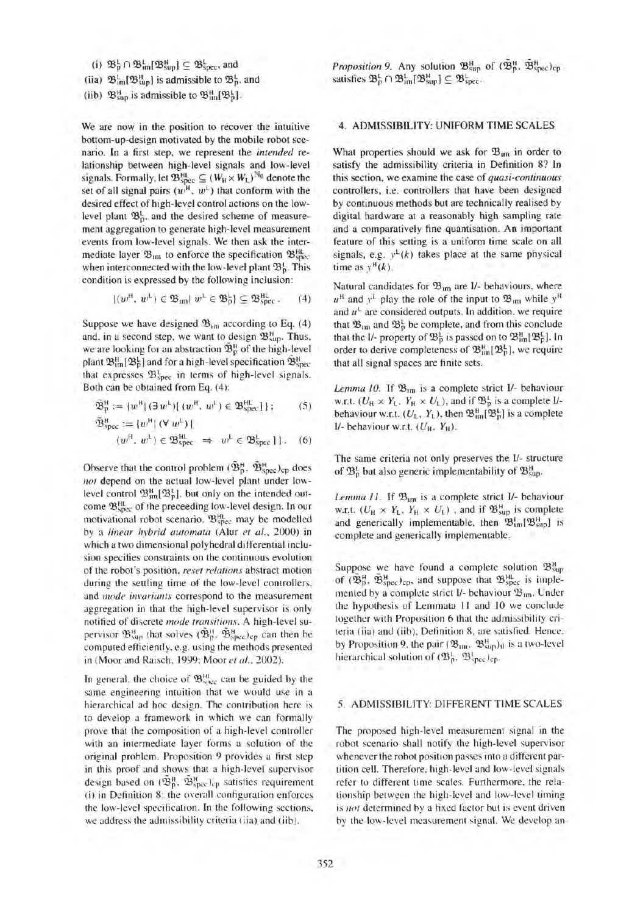(i)  $\mathfrak{B}^{\mathsf{L}}_{\mathsf{D}} \cap \mathfrak{B}^{\mathsf{L}}_{\mathsf{im}}[\mathfrak{B}^{\mathsf{H}}_{\mathsf{sup}}] \subseteq \mathfrak{B}^{\mathsf{L}}_{\mathsf{spec}},$  and

(iia) 
$$
\mathfrak{B}_{\text{im}}^{\text{L}}[\mathfrak{B}_{\text{sup}}^{\text{H}}]
$$
 is admissible to  $\mathfrak{B}_{\text{p}}^{\text{L}}$ , and

(iib)  $\mathfrak{B}^H_{\text{sup}}$  is admissible to  $\mathfrak{B}^H_{\text{inf}}[\mathfrak{B}^L_{\text{p}}]$ .

We are now in the position to recover the intuitive bottom-up-design motivated by the mobile robot scenario. In a first step, we represent the *intended* relationship between high-level signals and low-level signals. Formally, let  $\mathfrak{B}^{\text{HL}}_{\text{spec}} \subseteq (W_H \times W_L)^{\mathbb{N}_0}$  denote the set of all signal pairs  $(w^H, w^L)$  that conform with the desired effect of high-level control actions on the lowlevel plant  $\mathfrak{B}_p^1$ , and the desired scheme of measurement aggregation to generate high-level measurement events from low-level signals. We then ask the intermediate layer  $\mathfrak{B}_{\text{im}}$  to enforce the specification  $\mathfrak{B}_{\text{spec}}^{\text{HL}}$ when interconnected with the low-level plant  $\mathfrak{B}^1_p$ . This condition is expressed by the following inclusion:

$$
\{(w^{\rm H}, w^{\rm L}) \in \mathfrak{B}_{\rm im} | w^{\rm L} \in \mathfrak{B}_{\rm p}^{\rm L}\} \subseteq \mathfrak{B}_{\rm spec}^{\rm HL} \, . \qquad (4)
$$

Suppose we have designed  $\mathfrak{B}_{101}$  according to Eq. (4) and, in a second step, we want to design  $\mathfrak{B}^H_{\text{sup}}$ . Thus, we are looking for an abstraction  $\tilde{\mathfrak{B}}_p^H$  of the high-level plant  $\mathfrak{B}^H_{\text{im}}[\mathfrak{B}^L_{\text{p}}]$  and for a high-level specification  $\mathfrak{B}^H_{\text{spec}}$ that expresses  $\mathfrak{B}^{\mathsf{L}}_{\text{spec}}$  in terms of high-level signals. Both can be obtained from Eq. (4):

$$
\widetilde{\mathfrak{B}}_{p}^{H} := \{w^{H} | (\exists w^{L}) [ (w^{H}, w^{L}) \in \mathfrak{B}_{\rm spec}^{H} ] \}; \qquad (5)
$$

$$
\widetilde{\mathfrak{B}}_{\text{spec}}^{\text{H}} := \{ w^{\text{H}} \mid (\forall w^{\text{L}}) \mid (w^{\text{H}}, w^{\text{L}}) \in \mathfrak{B}_{\text{spec}}^{\text{H}} \implies w^{\text{L}} \in \mathfrak{B}_{\text{spec}}^{\text{L}} \} \}.
$$
 (6)

Observe that the control problem  $({\mathfrak{B}}_p^H,~{\mathfrak{B}}_{\rm spec}^H)_{\rm cp}$  does not depend on the actual low-level plant under lowlevel control  $\mathfrak{B}^{\text{H}}_{\text{im}}[\mathfrak{B}^{\text{L}}_{\text{n}}]$ , but only on the intended outcome  $\mathfrak{B}_{\text{spec}}^{\text{HL}}$  of the preceeding low-level design. In our motivational robot scenario,  $\mathfrak{B}_{\text{spec}}^{\text{HL}}$  may be modelled by a *linear hybrid automata* (Alur et al., 2000) in which a two dimensional polyhedral differential inclusion specifies constraints on the continuous evolution of the robot's position. *reset relations* abstract motion during the settling time of the low-level controllers. and *mode invariants* correspond to the measurement aggregation in that the high-level supervisor is only notified of discrete *mode transitions.* A high-level supervisor  $\mathfrak{B}^H_{\text{sup}}$  that solves  $({\mathfrak{B}}^H_{p},{\mathfrak{B}}^H_{\text{spec}})_{\text{cp}}$  can then be computed efficiently, e.g. using the methods presented in (Moor and Raisch, 1999; Moor *et al .. 2002).* 

In general, the choice of  $\mathfrak{B}_{\text{spec}}^{\text{HL}}$  can be guided by the same engineering intuition that we would use in a hierarchical ad hoc design. The contribution here is to develop a framework in which we can formally prove that the composition of a high-level controller with an intermediate layer forms a solution of the original problem. Proposition 9 provides a first step in this proof and shows that a high-level supervisor design based on  $({\tilde{\mathfrak{B}}_p^H},\,{\tilde{\mathfrak{B}}_{\rm spec}^H})_{cp}$  satisfies requirement (i) in Definition 8: the overall configuration enforces the low-level specification. In the following sections, we address the admissibility criteria (iia) and (iib).

*Proposition 9.* Any solution  $\mathfrak{B}^H_{\text{sun}}$  of  $(\tilde{\mathfrak{B}}^H_{p}, \tilde{\mathfrak{B}}^H_{\text{since}})_{\text{cp}}$ satisfies  $\mathfrak{B}^{\text{L}}_{p} \cap \mathfrak{B}^{\text{L}}_{\text{im}} [\mathfrak{B}^{\text{H}}_{\text{sup}}] \subseteq \mathfrak{B}^{\text{L}}_{\text{spec}}.$ 

#### 4. ADMISSIBILITY: UNIFORM TIME SCALES

What properties should we ask for  $\mathfrak{B}_{im}$  in order to satisfy the admissibility criteria in Definition 8? In this section, we examine the case of *quasi-continuous*  controllers, i.e. controllers that have been designed by continuous methods but are technically realised by digital hardware at a reasonably high sampling rate and a comparatively fine quantisation. An important feature of this setting is a uniform time scale on all signals, e.g.  $y^L(k)$  takes place at the same physical time as  $y^H(k)$ .

Natural candidates for  $\mathfrak{B}_{im}$  are I/- behaviours, where  $u^H$  and  $y^L$  play the role of the input to  $\mathfrak{B}_{\mathfrak{m}}$  while  $y^H$ and  $u^L$  are considered outputs. In addition, we require that  $\mathfrak{B}_{im}$  and  $\mathfrak{B}_{p}^{\mathsf{L}}$  be complete, and from this conclude that the I/- property of  $\mathfrak{B}^1_p$  is passed on to  $\mathfrak{B}^H_{\text{in}}[\mathfrak{B}^L_p]$ . In order to derive completeness of  $\mathfrak{B}_{\text{im}}^H[\mathfrak{B}_p^L]$ , we require that all signal spaces are finite sets.

*Lemma 10.* If  $\mathfrak{B}_{\text{im}}$  is a complete strict I/- behaviour w.r.t.  $(U_H \times Y_L, Y_H \times U_L)$ , and if  $\mathfrak{B}^L_p$  is a complete I/behaviour w.r.t.  $(U_L, Y_L)$ , then  $\mathfrak{B}^H_{nn}[\mathfrak{B}^L_n]$  is a complete *1/-* behaviour w.r.t.  $(U_H, Y_H)$ .

The same criteria not only preserves the 1/- structure of  $\mathfrak{B}^{\mathsf{L}}_{\mathsf{S}}$  but also generic implementability of  $\mathfrak{B}^{\mathsf{H}}_{\mathsf{S}^{\mathsf{U}}}\,$ 

*Lemma 11.* If  $\mathfrak{B}_{im}$  is a complete strict I/- behaviour w.r.t.  $(U_H \times Y_L, Y_H \times U_L)$ , and if  $\mathfrak{B}^H_{\text{sup}}$  is complete and generically implementable, then  $\mathfrak{B}^1_{\text{im}}[\mathfrak{B}^{\text{H}}_{\text{sup}}]$  is complete and generically implementable.

Suppose we have found a complete solution  $\mathfrak{B}_{\text{sup}}^{\text{H}}$ of  $({\mathfrak{B}}_{p}^{H}, {\mathfrak{B}}_{\text{spec}}^{H})_{\text{cp}}$ , and suppose that  ${\mathfrak{B}}_{\text{spec}}^{HL}$  is implemented by a complete strict I/- behaviour  $\mathfrak{B}_{1\text{m}}$ . Under the hypothesis of Lemmata II and 10 we condude together with Proposition 6 that the admissibility criteria (iia) and (iib), Definition 8, are satisfied. Hence. by Proposition 9, the pair  $(\mathfrak{B}_{nn}, \mathfrak{B}_{sup}^H)_{\text{tl}}$  is a two-level hierarchical solution of  $({\mathfrak B}^1_{p}, {\mathfrak B}^1_{\text{spec}})_{\text{cp}}$ .

#### 5. ADMISSIBILITY: DIFFERENT TIME SCALES

The proposed high-level measurement signal in the robot scenario shall notify the high-level supervisor whenever the robot position passes into a different partition cell. Therefore. high-level and low-level signals refer to different time scales. Furthermore. the relationship between the high-level and low-level timing is not determined by a fixed factor but is event driven by the low-level measurement signal. We develop an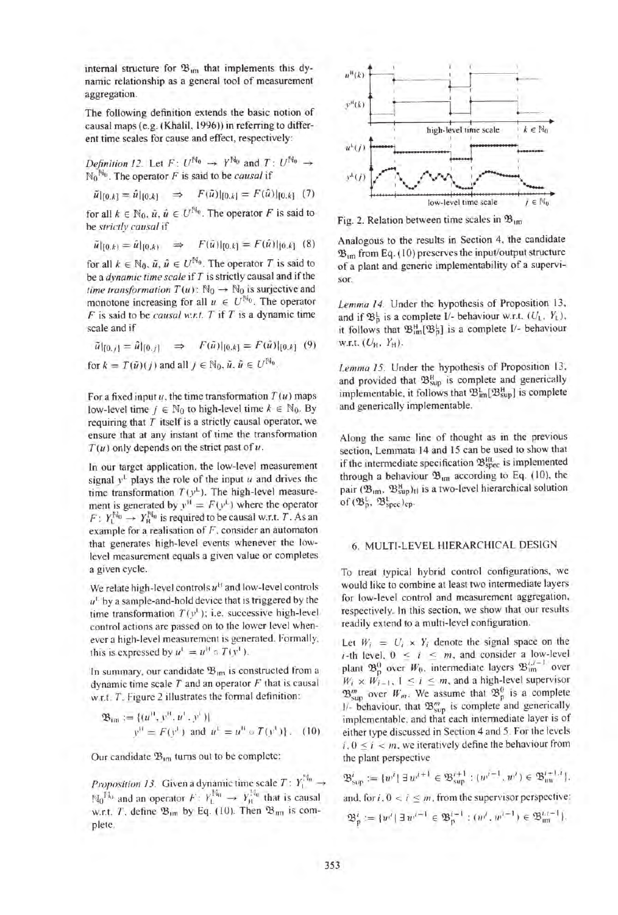internal structure for  $\mathfrak{B}_{\mathfrak{m}}$  that implements this dynamic relationship as a general tool of measurement aggregation.

The following definition extends the basic notion of causal maps (e.g. (Khalil, 1996)) in referring to different time scales for cause and effect, respectively:

*Definition 12.* Let  $F: U^{\mathbb{N}_0} \rightarrow Y^{\mathbb{N}_0}$  and  $T: U^{\mathbb{N}_0} \rightarrow$  $N_0^{N_0}$ . The operator *F* is said to be *causal* if

$$
\tilde{u}|_{[0,k]} = \hat{u}|_{[0,k]} \quad \Rightarrow \quad F(\hat{u})|_{[0,k]} = F(\hat{u})|_{[0,k]} \tag{7}
$$

for all  $k \in \mathbb{N}_0$ ,  $\tilde{u}$ ,  $\tilde{u} \in U^{\mathbb{N}_0}$ . The operator F is said to be *strictly causal* if

$$
\tilde{u}|_{[0,k)} = \hat{u}|_{[0,k)} \quad \Rightarrow \quad F(\hat{u})|_{[0,k]} = F(\hat{u})|_{[0,k]} \tag{8}
$$

for all  $k \in \mathbb{N}_0$ ,  $\tilde{u}$ ,  $\hat{u} \in U^{\mathbb{N}_0}$ . The operator T is said to be a *dynamic time scale* if T is strictly causal and if the *time transformation*  $T(u)$ :  $\mathbb{N}_0 \rightarrow \mathbb{N}_0$  is surjective and monotone increasing for all  $u \in U^{\mathbb{N}_0}$ . The operator *F* is said to be *causal W.r.t. T* if *T* is a dynamic time scale and if

$$
\begin{aligned}\n\tilde{u}|_{[0,j]} &= \hat{u}|_{[0,j]} \quad \Rightarrow \quad F(\tilde{u})|_{[0,k]} = F(\hat{u})|_{[0,k]} \quad (9) \\
\text{for } k &= T(\tilde{u})(j) \text{ and all } j \in \mathbb{N}_0, \, \tilde{u}, \, \hat{u} \in U^{\mathbb{N}_0}.\n\end{aligned}
$$

For a fixed input  $u$ , the time transformation  $T(u)$  maps low-level time  $j \in \mathbb{N}_0$  to high-level time  $k \in \mathbb{N}_0$ . By requiring that  $T$  itself is a strictly causal operator, we ensure that at any instant of time the transformation  $T(u)$  only depends on the strict past of  $u$ .

In our target application, the low-level measurement signal  $y^L$  plays the role of the input *u* and drives the time transformation  $T(y^L)$ . The high-level measurement is generated by  $y^H = F(y^L)$  where the operator  $F: Y_1^{\mathbb{N}_0} \to Y_{\mathbb{H}}^{\mathbb{N}_0}$  is required to be causal w.r.t. *T*. As an example for a realisation of *F,* consider an automaton that generates high-level events whenever the lowlevel measurement equals a given value or completes a given cycle.

We relate high-level controls *u"* and low-level controls  $u^1$  by a sample-and-hold device that is triggered by the time transformation  $T(v^1)$ ; i.e. successive high-level control actions are passed on to the lower level whenever a high-level measurement is generated. Formally, this is expressed by  $u^1 = u^1 \circ T(v^1)$ .

In summary, our candidate  $\mathfrak{B}_{\text{im}}$  is constructed from a dynamic time scale *T* and an operator *F* that is causal w.r.t. T. Figure 2 illustrates the formal definition:

$$
\mathfrak{B}_{\text{im}} := \{ (u^0, y^0, u^1, y^1) | y^0 = F(y^1) \text{ and } u^1 = u^0 \circ T(y^1) \}, \quad (10)
$$

Our candidate  $\mathfrak{B}_{1m}$  turns out to be complete:

*Proposition 13.* Given a dynamic time scale  $T: Y_1^{(3)} \rightarrow$  $N_0$ <sup>H<sub>0</sub></sup> and an operator *F*:  $Y_1^{M_0} \rightarrow Y_1^{H_0}$  that is causal w.r.t. *T*, define  $\mathfrak{B}_{\text{im}}$  by Eq. (10). Then  $\mathfrak{B}_{\text{im}}$  is complete.



Fig. 2. Relation between time scales in  $\mathfrak{B}_{1m}$ 

Analogous to the results in Section 4, the candidate  $\mathfrak{B}_{\text{tm}}$  from Eq. (10) preserves the input/output structure of a plant and generic implementability of a supervisor.

Lemma 14. Under the hypothesis of Proposition 13, and if  $\mathfrak{B}_{p}^{L}$  is a complete I/- behaviour w.r.t.  $(U_{L}, Y_{L})$ , it follows that  $\mathfrak{B}^H_{\text{im}}[\mathfrak{B}^L_{p}]$  is a complete I/- behaviour W.r.t.  $(U_H, Y_H)$ .

*Lemma 15.* Under the hypothesis of Proposition 13. and provided that  $\mathfrak{B}^H_{\text{sup}}$  is complete and generically implementable, it follows that  $\mathfrak{B}^1_{\text{im}}[\mathfrak{B}^H_{\text{sub}}]$  is complete and generically implementable.

Along the same line of thought as in the previous section, Lemmata 14 and 15 can be used to show that if the intermediate specification  $\mathfrak{B}_{\rm spec}^{\rm HL}$  is implemented through a behaviour  $\mathfrak{B}_{\text{um}}$  according to Eq. (10), the pair  $(\mathfrak{B}_{im}, \mathfrak{B}_{sup}^H)_{\text{tl}}$  is a two-level hierarchical solution of  $(\mathfrak{B}_{p}^{\mathfrak{l}}, \mathfrak{B}_{\text{spec}}^{\mathfrak{l}})_{\text{cp}}$ .

#### 6. MULTI-LEVEL HIERARCHICAL DESIGN

To treat typical hybrid control configurations. we would like to combine at least two intermediate layers for low-level control and measurement aggregation. respectively. In this section, we show that our results readily extend to a multi-level configuration.

Let  $W_i = U_i \times Y_i$  denote the signal space on the *i*-th level,  $0 \le i \le m$ , and consider a low-level plant  $\mathfrak{B}_{p}^{0}$  over  $W_{0}$ , intermediate layers  $\mathfrak{B}_{im}$  over  $W_i \times W_{i-1}$ ,  $1 \le i \le m$ , and a high-level supervisor  $\mathfrak{B}_{\text{sun}}^m$  over  $W_m$ . We assume that  $\mathfrak{B}_{p}^0$  is a complete  $1/-$  behaviour. that  $\mathfrak{B}_{\text{sup}}^{m}$  is complete and generically implementable. and that each intermediate layer is of either type discussed in Section 4 and 5. For the levels  $i, 0 \le i \le m$ , we iteratively define the behaviour from the plant perspective

 $\mathfrak{B}^{i}_{\sup}:=[w^{i}]\ \exists\ w^{i+1}\in\mathfrak{B}^{i+1}_{\sup}:(w^{i-1},w^{i})\in\mathfrak{B}^{i+1,i}_{\text{inv}}\}.$ and, for  $i, 0 < i \le m$ , from the supervisor perspective:  $\mathfrak{B}_{\mathfrak{p}}^{i}:=\{w^{i}|\ \exists\ w^{i+1}\in\mathfrak{B}_{\mathfrak{p}}^{i+1}:(w^{i},w^{i+1})\in\mathfrak{B}_{\mathfrak{m}i}^{i,i+1}\}.$